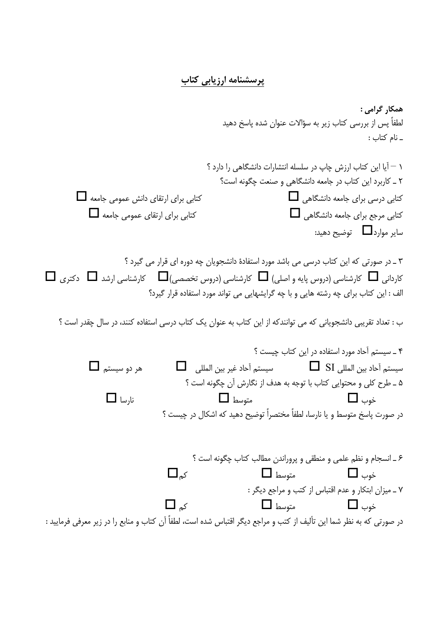## پرسشنامه ارزیابی کتاب

همکار گرامی : لطفاً پس از بررسی کتاب زیر به سؤالات عنوان شده پاسخ دهید ۔ نام کتاب : ١ – آيا اين كتاب ارزش چاپ در سلسله انتشارات دانشگاهي را دارد ؟ ٢ \_ كاربرد اين كتاب در جامعه دانشگاهي و صنعت چگونه است؟  $\Box$  کتابی برای ارتقای دانش عمومی جامعه کتابی درسی برای جامعه دانشگاهی  $\Box$ کتابی مرجع برای جامعه دانشگاهی **I**  $\Box$  کتابی برای ارتقای عمومی جامعه سایر موارد $\Box$  توضیح دهید:

۳ ـ در صورتی که این کتاب درسی می باشد مورد استفادهٔ دانشجویان چه دوره ای قرار می گیرد ؟  $\Box$ کاردانی  $\Box$  کارشناسی (دروس پایه و اصلی)  $\Box$  کارشناسی (دروس تخصصی) $\Box$  کارشناسی ارشد  $\Box$  دکتری الف : این کتاب برای چه رشته هایی و با چه گرایشهایی می تواند مورد استفاده قرار گیرد؟

ب : تعداد تقریبی دانشجویانی که می توانندکه از این کتاب به عنوان یک کتاب درسی استفاده کنند، در سال چقدر است ؟